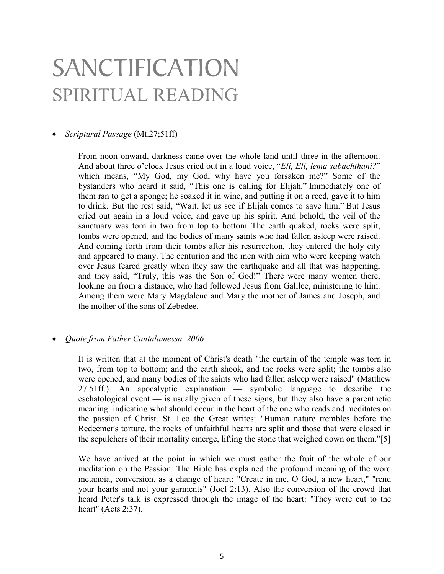## SANCTIFICATION SPIRITUAL READING

## • Scriptural Passage (Mt.27;51ff)

From noon onward, darkness came over the whole land until three in the afternoon. And about three o'clock Jesus cried out in a loud voice, "Eli, Eli, lema sabachthani?" which means, "My God, my God, why have you forsaken me?" Some of the bystanders who heard it said, "This one is calling for Elijah." Immediately one of them ran to get a sponge; he soaked it in wine, and putting it on a reed, gave it to him to drink. But the rest said, "Wait, let us see if Elijah comes to save him." But Jesus cried out again in a loud voice, and gave up his spirit. And behold, the veil of the sanctuary was torn in two from top to bottom. The earth quaked, rocks were split, tombs were opened, and the bodies of many saints who had fallen asleep were raised. And coming forth from their tombs after his resurrection, they entered the holy city and appeared to many. The centurion and the men with him who were keeping watch over Jesus feared greatly when they saw the earthquake and all that was happening, and they said, "Truly, this was the Son of God!" There were many women there, looking on from a distance, who had followed Jesus from Galilee, ministering to him. Among them were Mary Magdalene and Mary the mother of James and Joseph, and the mother of the sons of Zebedee.

## Quote from Father Cantalamessa, 2006

It is written that at the moment of Christ's death "the curtain of the temple was torn in two, from top to bottom; and the earth shook, and the rocks were split; the tombs also were opened, and many bodies of the saints who had fallen asleep were raised" (Matthew 27:51ff.). An apocalyptic explanation — symbolic language to describe the eschatological event  $\overline{a}$  is usually given of these signs, but they also have a parenthetic meaning: indicating what should occur in the heart of the one who reads and meditates on the passion of Christ. St. Leo the Great writes: "Human nature trembles before the Redeemer's torture, the rocks of unfaithful hearts are split and those that were closed in the sepulchers of their mortality emerge, lifting the stone that weighed down on them."[5]

We have arrived at the point in which we must gather the fruit of the whole of our meditation on the Passion. The Bible has explained the profound meaning of the word metanoia, conversion, as a change of heart: "Create in me, O God, a new heart," "rend your hearts and not your garments" (Joel 2:13). Also the conversion of the crowd that heard Peter's talk is expressed through the image of the heart: "They were cut to the heart" (Acts 2:37).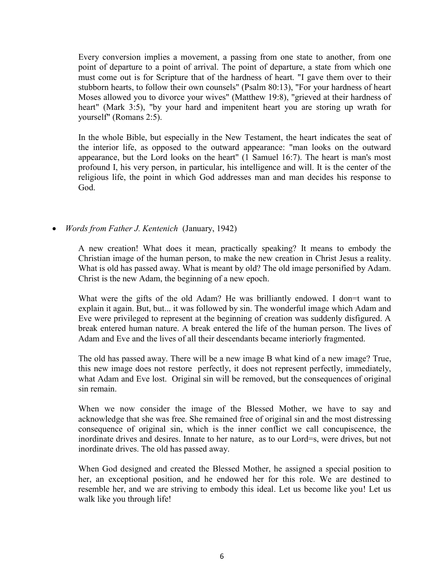Every conversion implies a movement, a passing from one state to another, from one point of departure to a point of arrival. The point of departure, a state from which one must come out is for Scripture that of the hardness of heart. "I gave them over to their stubborn hearts, to follow their own counsels" (Psalm 80:13), "For your hardness of heart Moses allowed you to divorce your wives" (Matthew 19:8), "grieved at their hardness of heart" (Mark 3:5), "by your hard and impenitent heart you are storing up wrath for yourself" (Romans 2:5).

In the whole Bible, but especially in the New Testament, the heart indicates the seat of the interior life, as opposed to the outward appearance: "man looks on the outward appearance, but the Lord looks on the heart" (1 Samuel 16:7). The heart is man's most profound I, his very person, in particular, his intelligence and will. It is the center of the religious life, the point in which God addresses man and man decides his response to God.

• *Words from Father J. Kentenich* (January, 1942)

A new creation! What does it mean, practically speaking? It means to embody the Christian image of the human person, to make the new creation in Christ Jesus a reality. What is old has passed away. What is meant by old? The old image personified by Adam. Christ is the new Adam, the beginning of a new epoch.

What were the gifts of the old Adam? He was brilliantly endowed. I don=t want to explain it again. But, but... it was followed by sin. The wonderful image which Adam and Eve were privileged to represent at the beginning of creation was suddenly disfigured. A break entered human nature. A break entered the life of the human person. The lives of Adam and Eve and the lives of all their descendants became interiorly fragmented.

The old has passed away. There will be a new image B what kind of a new image? True, this new image does not restore perfectly, it does not represent perfectly, immediately, what Adam and Eve lost. Original sin will be removed, but the consequences of original sin remain.

When we now consider the image of the Blessed Mother, we have to say and acknowledge that she was free. She remained free of original sin and the most distressing consequence of original sin, which is the inner conflict we call concupiscence, the inordinate drives and desires. Innate to her nature, as to our Lord=s, were drives, but not inordinate drives. The old has passed away.

When God designed and created the Blessed Mother, he assigned a special position to her, an exceptional position, and he endowed her for this role. We are destined to resemble her, and we are striving to embody this ideal. Let us become like you! Let us walk like you through life!